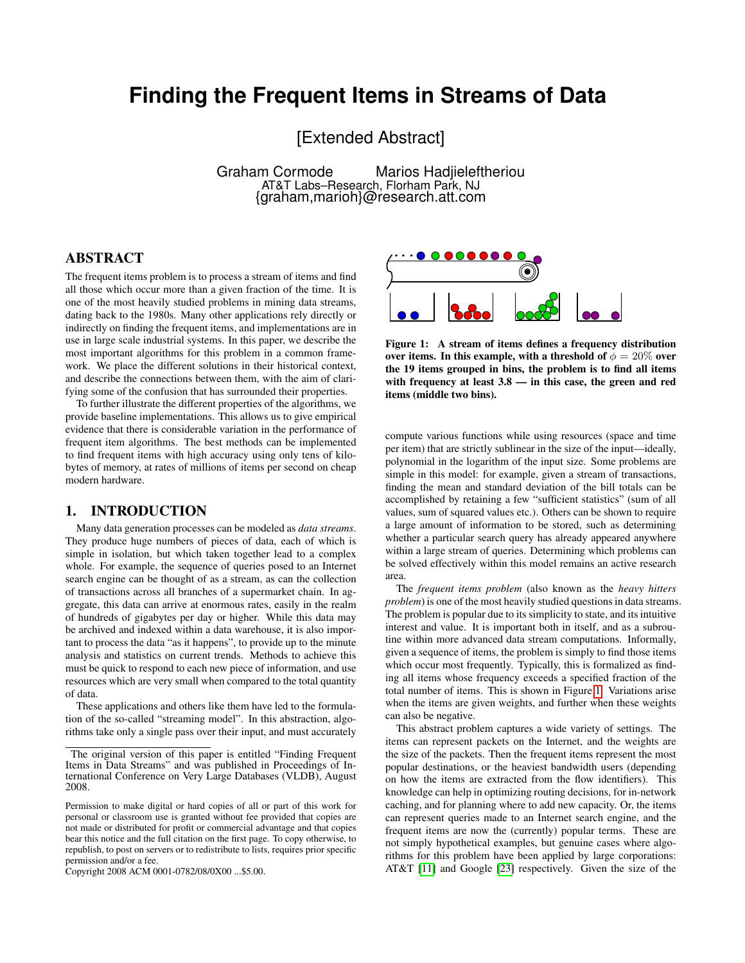# **Finding the Frequent Items in Streams of Data**

[Extended Abstract]

Graham Cormode Marios Hadjieleftheriou AT&T Labs–Research, Florham Park, NJ {graham,marioh}@research.att.com

## ABSTRACT

The frequent items problem is to process a stream of items and find all those which occur more than a given fraction of the time. It is one of the most heavily studied problems in mining data streams, dating back to the 1980s. Many other applications rely directly or indirectly on finding the frequent items, and implementations are in use in large scale industrial systems. In this paper, we describe the most important algorithms for this problem in a common framework. We place the different solutions in their historical context, and describe the connections between them, with the aim of clarifying some of the confusion that has surrounded their properties.

To further illustrate the different properties of the algorithms, we provide baseline implementations. This allows us to give empirical evidence that there is considerable variation in the performance of frequent item algorithms. The best methods can be implemented to find frequent items with high accuracy using only tens of kilobytes of memory, at rates of millions of items per second on cheap modern hardware.

## 1. INTRODUCTION

Many data generation processes can be modeled as *data streams*. They produce huge numbers of pieces of data, each of which is simple in isolation, but which taken together lead to a complex whole. For example, the sequence of queries posed to an Internet search engine can be thought of as a stream, as can the collection of transactions across all branches of a supermarket chain. In aggregate, this data can arrive at enormous rates, easily in the realm of hundreds of gigabytes per day or higher. While this data may be archived and indexed within a data warehouse, it is also important to process the data "as it happens", to provide up to the minute analysis and statistics on current trends. Methods to achieve this must be quick to respond to each new piece of information, and use resources which are very small when compared to the total quantity of data.

These applications and others like them have led to the formulation of the so-called "streaming model". In this abstraction, algorithms take only a single pass over their input, and must accurately

Copyright 2008 ACM 0001-0782/08/0X00 ...\$5.00.



<span id="page-0-0"></span>Figure 1: A stream of items defines a frequency distribution over items. In this example, with a threshold of  $\phi = 20\%$  over the 19 items grouped in bins, the problem is to find all items with frequency at least 3.8 — in this case, the green and red items (middle two bins).

compute various functions while using resources (space and time per item) that are strictly sublinear in the size of the input—ideally, polynomial in the logarithm of the input size. Some problems are simple in this model: for example, given a stream of transactions, finding the mean and standard deviation of the bill totals can be accomplished by retaining a few "sufficient statistics" (sum of all values, sum of squared values etc.). Others can be shown to require a large amount of information to be stored, such as determining whether a particular search query has already appeared anywhere within a large stream of queries. Determining which problems can be solved effectively within this model remains an active research area.

The *frequent items problem* (also known as the *heavy hitters problem*) is one of the most heavily studied questions in data streams. The problem is popular due to its simplicity to state, and its intuitive interest and value. It is important both in itself, and as a subroutine within more advanced data stream computations. Informally, given a sequence of items, the problem is simply to find those items which occur most frequently. Typically, this is formalized as finding all items whose frequency exceeds a specified fraction of the total number of items. This is shown in Figure [1.](#page-0-0) Variations arise when the items are given weights, and further when these weights can also be negative.

This abstract problem captures a wide variety of settings. The items can represent packets on the Internet, and the weights are the size of the packets. Then the frequent items represent the most popular destinations, or the heaviest bandwidth users (depending on how the items are extracted from the flow identifiers). This knowledge can help in optimizing routing decisions, for in-network caching, and for planning where to add new capacity. Or, the items can represent queries made to an Internet search engine, and the frequent items are now the (currently) popular terms. These are not simply hypothetical examples, but genuine cases where algorithms for this problem have been applied by large corporations: AT&T [\[11\]](#page-7-0) and Google [\[23\]](#page-7-1) respectively. Given the size of the

The original version of this paper is entitled "Finding Frequent Items in Data Streams" and was published in Proceedings of International Conference on Very Large Databases (VLDB), August 2008.

Permission to make digital or hard copies of all or part of this work for personal or classroom use is granted without fee provided that copies are not made or distributed for profit or commercial advantage and that copies bear this notice and the full citation on the first page. To copy otherwise, to republish, to post on servers or to redistribute to lists, requires prior specific permission and/or a fee.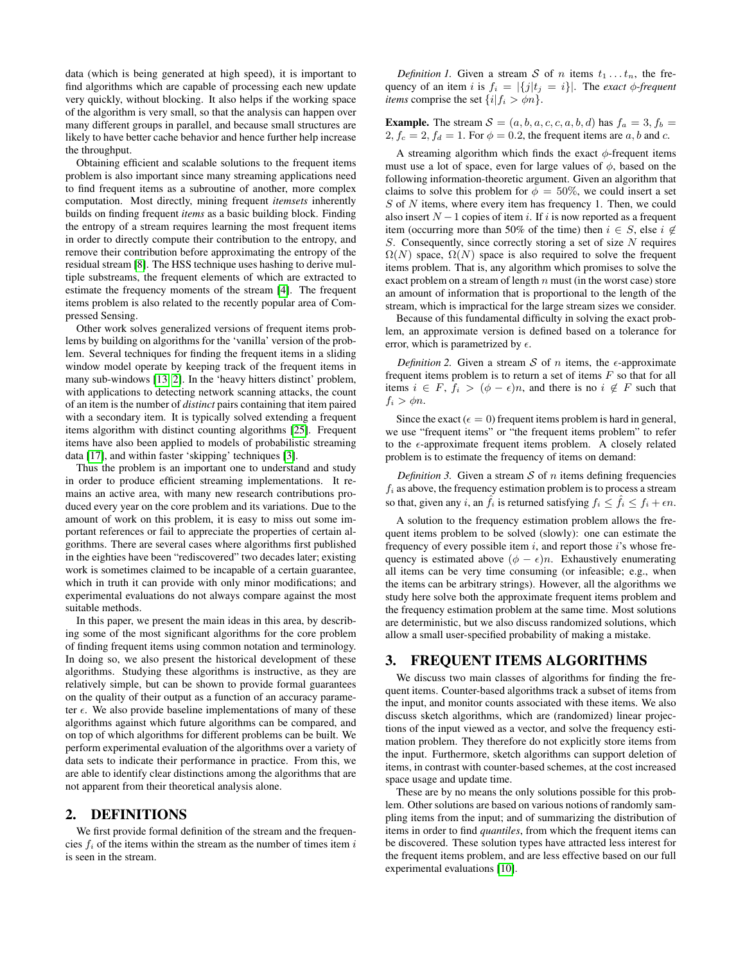data (which is being generated at high speed), it is important to find algorithms which are capable of processing each new update very quickly, without blocking. It also helps if the working space of the algorithm is very small, so that the analysis can happen over many different groups in parallel, and because small structures are likely to have better cache behavior and hence further help increase the throughput.

Obtaining efficient and scalable solutions to the frequent items problem is also important since many streaming applications need to find frequent items as a subroutine of another, more complex computation. Most directly, mining frequent *itemsets* inherently builds on finding frequent *items* as a basic building block. Finding the entropy of a stream requires learning the most frequent items in order to directly compute their contribution to the entropy, and remove their contribution before approximating the entropy of the residual stream [\[8\]](#page-7-2). The HSS technique uses hashing to derive multiple substreams, the frequent elements of which are extracted to estimate the frequency moments of the stream [\[4\]](#page-7-3). The frequent items problem is also related to the recently popular area of Compressed Sensing.

Other work solves generalized versions of frequent items problems by building on algorithms for the 'vanilla' version of the problem. Several techniques for finding the frequent items in a sliding window model operate by keeping track of the frequent items in many sub-windows [\[13,](#page-7-4) [2\]](#page-7-5). In the 'heavy hitters distinct' problem, with applications to detecting network scanning attacks, the count of an item is the number of *distinct* pairs containing that item paired with a secondary item. It is typically solved extending a frequent items algorithm with distinct counting algorithms [\[25\]](#page-7-6). Frequent items have also been applied to models of probabilistic streaming data [\[17\]](#page-7-7), and within faster 'skipping' techniques [\[3\]](#page-7-8).

Thus the problem is an important one to understand and study in order to produce efficient streaming implementations. It remains an active area, with many new research contributions produced every year on the core problem and its variations. Due to the amount of work on this problem, it is easy to miss out some important references or fail to appreciate the properties of certain algorithms. There are several cases where algorithms first published in the eighties have been "rediscovered" two decades later; existing work is sometimes claimed to be incapable of a certain guarantee, which in truth it can provide with only minor modifications; and experimental evaluations do not always compare against the most suitable methods.

In this paper, we present the main ideas in this area, by describing some of the most significant algorithms for the core problem of finding frequent items using common notation and terminology. In doing so, we also present the historical development of these algorithms. Studying these algorithms is instructive, as they are relatively simple, but can be shown to provide formal guarantees on the quality of their output as a function of an accuracy parameter  $\epsilon$ . We also provide baseline implementations of many of these algorithms against which future algorithms can be compared, and on top of which algorithms for different problems can be built. We perform experimental evaluation of the algorithms over a variety of data sets to indicate their performance in practice. From this, we are able to identify clear distinctions among the algorithms that are not apparent from their theoretical analysis alone.

## 2. DEFINITIONS

<span id="page-1-0"></span>We first provide formal definition of the stream and the frequencies  $f_i$  of the items within the stream as the number of times item i is seen in the stream.

*Definition 1.* Given a stream S of n items  $t_1 \ldots t_n$ , the frequency of an item i is  $f_i = |\{j|t_j = i\}|$ . The *exact*  $\phi$ -frequent *items* comprise the set  $\{i|f_i > \phi n\}$ .

#### **Example.** The stream  $S = (a, b, a, c, c, a, b, d)$  has  $f_a = 3, f_b =$  $2, f_c = 2, f_d = 1$ . For  $\phi = 0.2$ , the frequent items are a, b and c.

A streaming algorithm which finds the exact  $\phi$ -frequent items must use a lot of space, even for large values of  $\phi$ , based on the following information-theoretic argument. Given an algorithm that claims to solve this problem for  $\phi = 50\%$ , we could insert a set S of N items, where every item has frequency 1. Then, we could also insert  $N-1$  copies of item i. If i is now reported as a frequent item (occurring more than 50% of the time) then  $i \in S$ , else  $i \notin$ S. Consequently, since correctly storing a set of size  $N$  requires  $\Omega(N)$  space,  $\Omega(N)$  space is also required to solve the frequent items problem. That is, any algorithm which promises to solve the exact problem on a stream of length  $n$  must (in the worst case) store an amount of information that is proportional to the length of the stream, which is impractical for the large stream sizes we consider.

Because of this fundamental difficulty in solving the exact problem, an approximate version is defined based on a tolerance for error, which is parametrized by  $\epsilon$ .

*Definition 2.* Given a stream  $S$  of  $n$  items, the  $\epsilon$ -approximate frequent items problem is to return a set of items  $F$  so that for all items  $i \in F$ ,  $f_i > (\phi - \epsilon)n$ , and there is no  $i \notin F$  such that  $f_i > \phi n$ .

Since the exact ( $\epsilon = 0$ ) frequent items problem is hard in general, we use "frequent items" or "the frequent items problem" to refer to the  $\epsilon$ -approximate frequent items problem. A closely related problem is to estimate the frequency of items on demand:

*Definition 3.* Given a stream  $S$  of  $n$  items defining frequencies  $f_i$  as above, the frequency estimation problem is to process a stream so that, given any i, an  $\hat{f}_i$  is returned satisfying  $f_i \leq \hat{f}_i \leq f_i + \epsilon n$ .

A solution to the frequency estimation problem allows the frequent items problem to be solved (slowly): one can estimate the frequency of every possible item  $i$ , and report those  $i$ 's whose frequency is estimated above  $(\phi - \epsilon)n$ . Exhaustively enumerating all items can be very time consuming (or infeasible; e.g., when the items can be arbitrary strings). However, all the algorithms we study here solve both the approximate frequent items problem and the frequency estimation problem at the same time. Most solutions are deterministic, but we also discuss randomized solutions, which allow a small user-specified probability of making a mistake.

## 3. FREQUENT ITEMS ALGORITHMS

We discuss two main classes of algorithms for finding the frequent items. Counter-based algorithms track a subset of items from the input, and monitor counts associated with these items. We also discuss sketch algorithms, which are (randomized) linear projections of the input viewed as a vector, and solve the frequency estimation problem. They therefore do not explicitly store items from the input. Furthermore, sketch algorithms can support deletion of items, in contrast with counter-based schemes, at the cost increased space usage and update time.

These are by no means the only solutions possible for this problem. Other solutions are based on various notions of randomly sampling items from the input; and of summarizing the distribution of items in order to find *quantiles*, from which the frequent items can be discovered. These solution types have attracted less interest for the frequent items problem, and are less effective based on our full experimental evaluations [\[10\]](#page-7-9).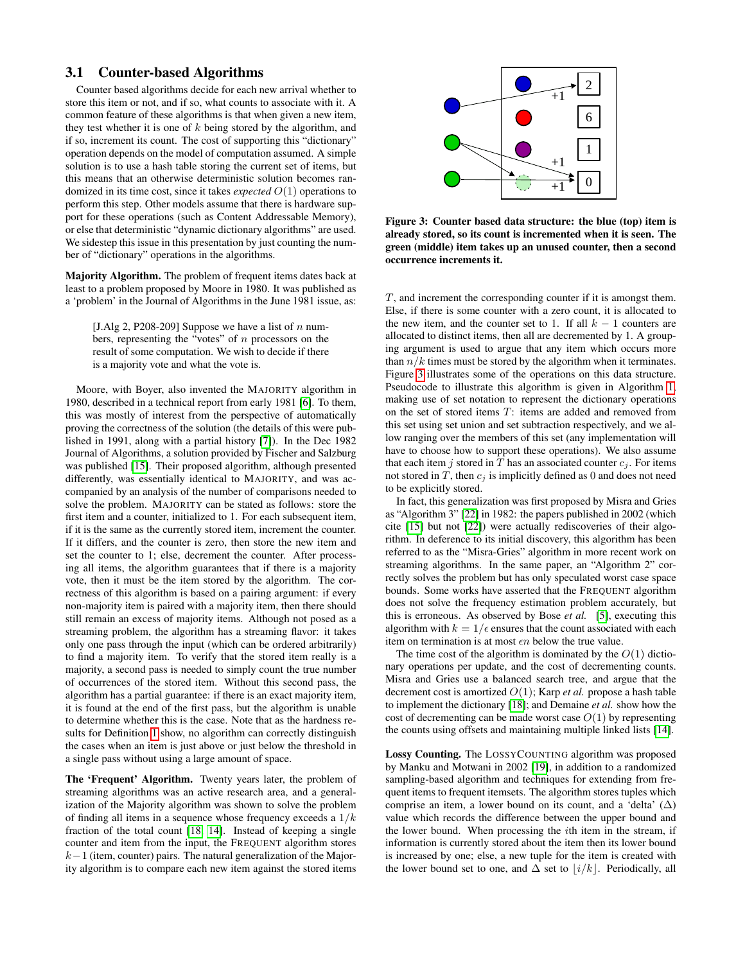## 3.1 Counter-based Algorithms

Counter based algorithms decide for each new arrival whether to store this item or not, and if so, what counts to associate with it. A common feature of these algorithms is that when given a new item, they test whether it is one of  $k$  being stored by the algorithm, and if so, increment its count. The cost of supporting this "dictionary" operation depends on the model of computation assumed. A simple solution is to use a hash table storing the current set of items, but this means that an otherwise deterministic solution becomes randomized in its time cost, since it takes *expected* O(1) operations to perform this step. Other models assume that there is hardware support for these operations (such as Content Addressable Memory), or else that deterministic "dynamic dictionary algorithms" are used. We sidestep this issue in this presentation by just counting the number of "dictionary" operations in the algorithms.

Majority Algorithm. The problem of frequent items dates back at least to a problem proposed by Moore in 1980. It was published as a 'problem' in the Journal of Algorithms in the June 1981 issue, as:

[J.Alg 2, P208-209] Suppose we have a list of  $n$  numbers, representing the "votes" of n processors on the result of some computation. We wish to decide if there is a majority vote and what the vote is.

Moore, with Boyer, also invented the MAJORITY algorithm in 1980, described in a technical report from early 1981 [\[6\]](#page-7-10). To them, this was mostly of interest from the perspective of automatically proving the correctness of the solution (the details of this were published in 1991, along with a partial history [\[7\]](#page-7-11)). In the Dec 1982 Journal of Algorithms, a solution provided by Fischer and Salzburg was published [\[15\]](#page-7-12). Their proposed algorithm, although presented differently, was essentially identical to MAJORITY, and was accompanied by an analysis of the number of comparisons needed to solve the problem. MAJORITY can be stated as follows: store the first item and a counter, initialized to 1. For each subsequent item, if it is the same as the currently stored item, increment the counter. If it differs, and the counter is zero, then store the new item and set the counter to 1; else, decrement the counter. After processing all items, the algorithm guarantees that if there is a majority vote, then it must be the item stored by the algorithm. The correctness of this algorithm is based on a pairing argument: if every non-majority item is paired with a majority item, then there should still remain an excess of majority items. Although not posed as a streaming problem, the algorithm has a streaming flavor: it takes only one pass through the input (which can be ordered arbitrarily) to find a majority item. To verify that the stored item really is a majority, a second pass is needed to simply count the true number of occurrences of the stored item. Without this second pass, the algorithm has a partial guarantee: if there is an exact majority item, it is found at the end of the first pass, but the algorithm is unable to determine whether this is the case. Note that as the hardness results for Definition [1](#page-1-0) show, no algorithm can correctly distinguish the cases when an item is just above or just below the threshold in a single pass without using a large amount of space.

The 'Frequent' Algorithm. Twenty years later, the problem of streaming algorithms was an active research area, and a generalization of the Majority algorithm was shown to solve the problem of finding all items in a sequence whose frequency exceeds a  $1/k$ fraction of the total count [\[18,](#page-7-13) [14\]](#page-7-14). Instead of keeping a single counter and item from the input, the FREQUENT algorithm stores  $k-1$  (item, counter) pairs. The natural generalization of the Majority algorithm is to compare each new item against the stored items



<span id="page-2-0"></span>Figure 3: Counter based data structure: the blue (top) item is already stored, so its count is incremented when it is seen. The green (middle) item takes up an unused counter, then a second occurrence increments it.

T, and increment the corresponding counter if it is amongst them. Else, if there is some counter with a zero count, it is allocated to the new item, and the counter set to 1. If all  $k - 1$  counters are allocated to distinct items, then all are decremented by 1. A grouping argument is used to argue that any item which occurs more than  $n/k$  times must be stored by the algorithm when it terminates. Figure [3](#page-2-0) illustrates some of the operations on this data structure. Pseudocode to illustrate this algorithm is given in Algorithm [1,](#page-3-0) making use of set notation to represent the dictionary operations on the set of stored items T: items are added and removed from this set using set union and set subtraction respectively, and we allow ranging over the members of this set (any implementation will have to choose how to support these operations). We also assume that each item j stored in T has an associated counter  $c_i$ . For items not stored in  $T$ , then  $c_j$  is implicitly defined as 0 and does not need to be explicitly stored.

In fact, this generalization was first proposed by Misra and Gries as "Algorithm 3" [\[22\]](#page-7-15) in 1982: the papers published in 2002 (which cite [\[15\]](#page-7-12) but not [\[22\]](#page-7-15)) were actually rediscoveries of their algorithm. In deference to its initial discovery, this algorithm has been referred to as the "Misra-Gries" algorithm in more recent work on streaming algorithms. In the same paper, an "Algorithm 2" correctly solves the problem but has only speculated worst case space bounds. Some works have asserted that the FREQUENT algorithm does not solve the frequency estimation problem accurately, but this is erroneous. As observed by Bose *et al.* [\[5\]](#page-7-16), executing this algorithm with  $k = 1/\epsilon$  ensures that the count associated with each item on termination is at most  $\epsilon n$  below the true value.

The time cost of the algorithm is dominated by the  $O(1)$  dictionary operations per update, and the cost of decrementing counts. Misra and Gries use a balanced search tree, and argue that the decrement cost is amortized  $O(1)$ ; Karp *et al.* propose a hash table to implement the dictionary [\[18\]](#page-7-13); and Demaine *et al.* show how the cost of decrementing can be made worst case  $O(1)$  by representing the counts using offsets and maintaining multiple linked lists [\[14\]](#page-7-14).

Lossy Counting. The LOSSYCOUNTING algorithm was proposed by Manku and Motwani in 2002 [\[19\]](#page-7-17), in addition to a randomized sampling-based algorithm and techniques for extending from frequent items to frequent itemsets. The algorithm stores tuples which comprise an item, a lower bound on its count, and a 'delta'  $(\Delta)$ value which records the difference between the upper bound and the lower bound. When processing the *i*th item in the stream, if information is currently stored about the item then its lower bound is increased by one; else, a new tuple for the item is created with the lower bound set to one, and  $\Delta$  set to  $|i/k|$ . Periodically, all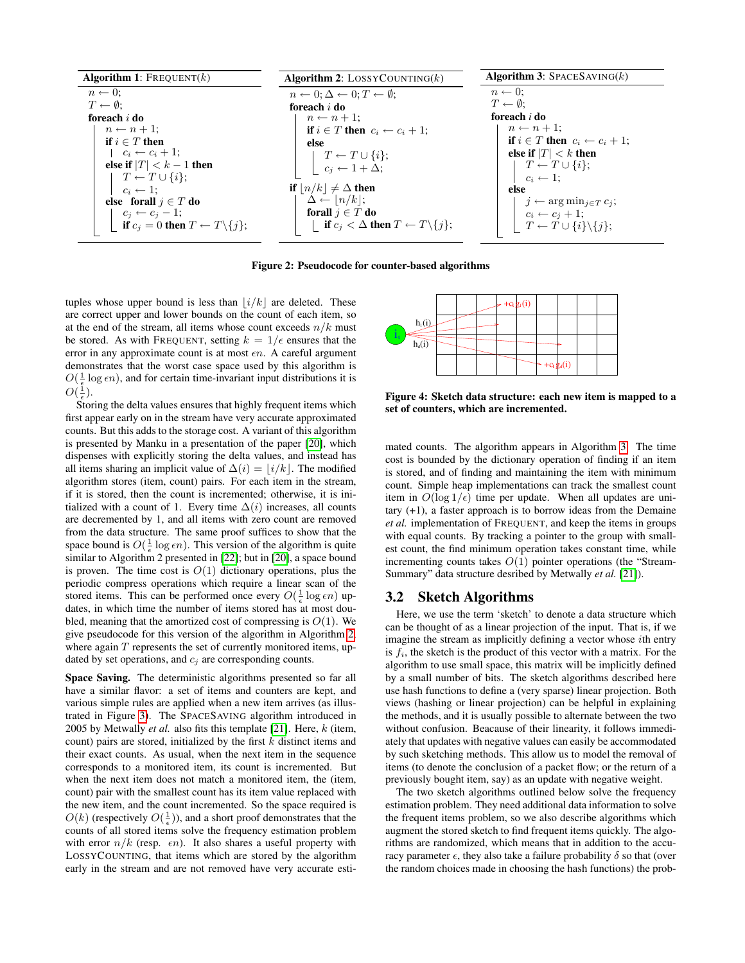<span id="page-3-0"></span>

<span id="page-3-1"></span>Figure 2: Pseudocode for counter-based algorithms

tuples whose upper bound is less than  $|i/k|$  are deleted. These are correct upper and lower bounds on the count of each item, so at the end of the stream, all items whose count exceeds  $n/k$  must be stored. As with FREQUENT, setting  $k = 1/\epsilon$  ensures that the error in any approximate count is at most  $\epsilon n$ . A careful argument demonstrates that the worst case space used by this algorithm is  $O(\frac{1}{\epsilon} \log \epsilon n)$ , and for certain time-invariant input distributions it is  $O(\frac{1}{\epsilon}).$ 

Storing the delta values ensures that highly frequent items which first appear early on in the stream have very accurate approximated counts. But this adds to the storage cost. A variant of this algorithm is presented by Manku in a presentation of the paper [\[20\]](#page-7-18), which dispenses with explicitly storing the delta values, and instead has all items sharing an implicit value of  $\Delta(i) = |i/k|$ . The modified algorithm stores (item, count) pairs. For each item in the stream, if it is stored, then the count is incremented; otherwise, it is initialized with a count of 1. Every time  $\Delta(i)$  increases, all counts are decremented by 1, and all items with zero count are removed from the data structure. The same proof suffices to show that the space bound is  $O(\frac{1}{\epsilon} \log \epsilon n)$ . This version of the algorithm is quite similar to Algorithm 2 presented in [\[22\]](#page-7-15); but in [\[20\]](#page-7-18), a space bound is proven. The time cost is  $O(1)$  dictionary operations, plus the periodic compress operations which require a linear scan of the stored items. This can be performed once every  $O(\frac{1}{\epsilon} \log \epsilon n)$  updates, in which time the number of items stored has at most doubled, meaning that the amortized cost of compressing is  $O(1)$ . We give pseudocode for this version of the algorithm in Algorithm [2,](#page-3-1) where again  $T$  represents the set of currently monitored items, updated by set operations, and  $c_i$  are corresponding counts.

Space Saving. The deterministic algorithms presented so far all have a similar flavor: a set of items and counters are kept, and various simple rules are applied when a new item arrives (as illustrated in Figure [3\)](#page-2-0). The SPACESAVING algorithm introduced in 2005 by Metwally *et al.* also fits this template [\[21\]](#page-7-19). Here, k (item, count) pairs are stored, initialized by the first  $k$  distinct items and their exact counts. As usual, when the next item in the sequence corresponds to a monitored item, its count is incremented. But when the next item does not match a monitored item, the (item, count) pair with the smallest count has its item value replaced with the new item, and the count incremented. So the space required is  $O(k)$  (respectively  $O(\frac{1}{\epsilon})$ ), and a short proof demonstrates that the counts of all stored items solve the frequency estimation problem with error  $n/k$  (resp.  $\epsilon n$ ). It also shares a useful property with LOSSYCOUNTING, that items which are stored by the algorithm early in the stream and are not removed have very accurate esti-

<span id="page-3-2"></span>

<span id="page-3-3"></span>Figure 4: Sketch data structure: each new item is mapped to a set of counters, which are incremented.

mated counts. The algorithm appears in Algorithm [3.](#page-3-2) The time cost is bounded by the dictionary operation of finding if an item is stored, and of finding and maintaining the item with minimum count. Simple heap implementations can track the smallest count item in  $O(\log 1/\epsilon)$  time per update. When all updates are unitary  $(+1)$ , a faster approach is to borrow ideas from the Demaine *et al.* implementation of FREQUENT, and keep the items in groups with equal counts. By tracking a pointer to the group with smallest count, the find minimum operation takes constant time, while incrementing counts takes  $O(1)$  pointer operations (the "Stream-Summary" data structure desribed by Metwally *et al.* [\[21\]](#page-7-19)).

## 3.2 Sketch Algorithms

Here, we use the term 'sketch' to denote a data structure which can be thought of as a linear projection of the input. That is, if we imagine the stream as implicitly defining a vector whose ith entry is  $f_i$ , the sketch is the product of this vector with a matrix. For the algorithm to use small space, this matrix will be implicitly defined by a small number of bits. The sketch algorithms described here use hash functions to define a (very sparse) linear projection. Both views (hashing or linear projection) can be helpful in explaining the methods, and it is usually possible to alternate between the two without confusion. Beacause of their linearity, it follows immediately that updates with negative values can easily be accommodated by such sketching methods. This allow us to model the removal of items (to denote the conclusion of a packet flow; or the return of a previously bought item, say) as an update with negative weight.

The two sketch algorithms outlined below solve the frequency estimation problem. They need additional data information to solve the frequent items problem, so we also describe algorithms which augment the stored sketch to find frequent items quickly. The algorithms are randomized, which means that in addition to the accuracy parameter  $\epsilon$ , they also take a failure probability  $\delta$  so that (over the random choices made in choosing the hash functions) the prob-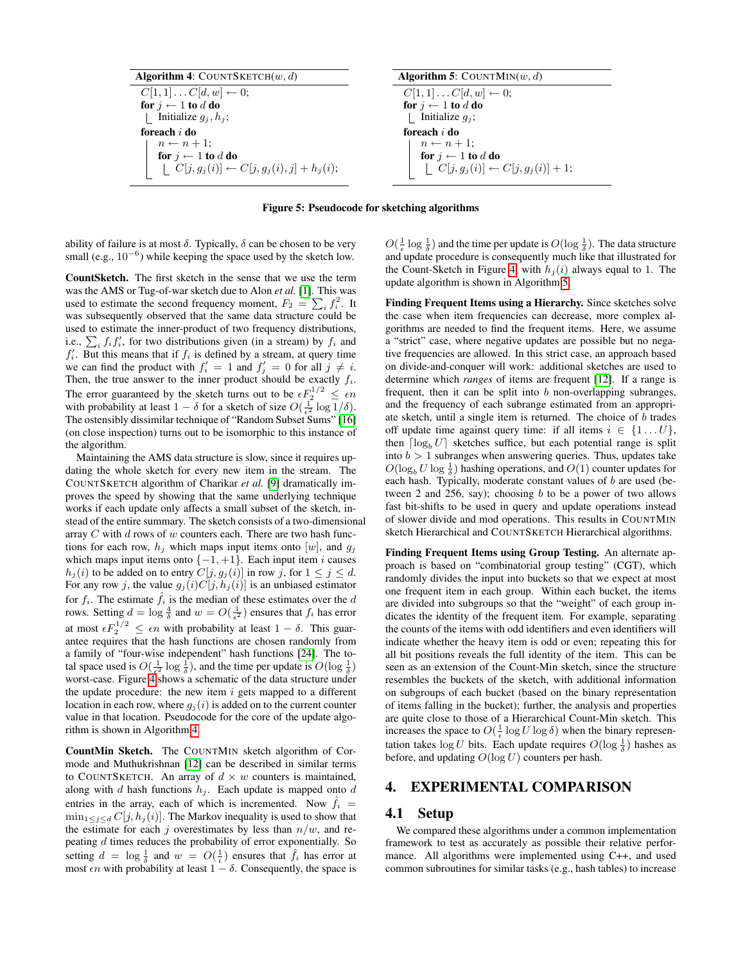<span id="page-4-0"></span>

| <b>Algorithm 4:</b> COUNTSKETCH $(w, d)$                   | <b>Algorithm 5:</b> COUNTMIN( $w, d$ )       |
|------------------------------------------------------------|----------------------------------------------|
| $C[1,1] \ldots C[d,w] \leftarrow 0;$                       | $C[1,1] \ldots C[d,w] \leftarrow 0;$         |
| for $i \leftarrow 1$ to d do                               | for $i \leftarrow 1$ to d do                 |
| Initialize $g_j, h_j$ ;                                    | Initialize $q_i$ ;                           |
| foreach $i$ do                                             | foreach $i$ do                               |
| $n \leftarrow n+1$ ;                                       | $n \leftarrow n+1$ ;                         |
| for $j \leftarrow 1$ to d do                               | for $j \leftarrow 1$ to d do                 |
| $\left[ C[j, g_i(i)] \leftarrow C[j, g_i(i), j] + h_i(i);$ | $ C[j, g_i(i)] \leftarrow C[j, g_i(i)] + 1;$ |

Figure 5: Pseudocode for sketching algorithms

ability of failure is at most  $\delta$ . Typically,  $\delta$  can be chosen to be very small (e.g.,  $10^{-6}$ ) while keeping the space used by the sketch low.

CountSketch. The first sketch in the sense that we use the term was the AMS or Tug-of-war sketch due to Alon *et al.* [\[1\]](#page-7-20). This was used to estimate the second frequency moment,  $F_2 = \sum_i f_i^2$ . It was subsequently observed that the same data structure could be used to estimate the inner-product of two frequency distributions, i.e.,  $\sum_i f_i f'_i$ , for two distributions given (in a stream) by  $f_i$  and  $f'_{i}$ . But this means that if  $f_{i}$  is defined by a stream, at query time we can find the product with  $f'_i = 1$  and  $f'_j = 0$  for all  $j \neq i$ . Then, the true answer to the inner product should be exactly  $f_i$ . The error guaranteed by the sketch turns out to be  $\epsilon F_2^{1/2} \leq \epsilon n$ with probability at least  $1 - \delta$  for a sketch of size  $O(\frac{1}{\epsilon^2} \log 1/\delta)$ . The ostensibly dissimilar technique of "Random Subset Sums" [\[16\]](#page-7-21) (on close inspection) turns out to be isomorphic to this instance of the algorithm.

Maintaining the AMS data structure is slow, since it requires updating the whole sketch for every new item in the stream. The COUNTSKETCH algorithm of Charikar *et al.* [\[9\]](#page-7-22) dramatically improves the speed by showing that the same underlying technique works if each update only affects a small subset of the sketch, instead of the entire summary. The sketch consists of a two-dimensional array  $C$  with  $d$  rows of  $w$  counters each. There are two hash functions for each row,  $h_j$  which maps input items onto [w], and  $g_j$ which maps input items onto  $\{-1, +1\}$ . Each input item *i* causes  $h_j(i)$  to be added on to entry  $C[j, g_j(i)]$  in row j, for  $1 \leq j \leq d$ . For any row j, the value  $g_j(i)C[j, h_j(i)]$  is an unbiased estimator for  $f_i$ . The estimate  $\hat{f}_i$  is the median of these estimates over the d rows. Setting  $d = \log \frac{4}{\delta}$  and  $w = O(\frac{1}{\epsilon^2})$  ensures that  $f_i$  has error at most  $\epsilon F_2^{1/2} \leq \epsilon n$  with probability at least  $1 - \delta$ . This guarantee requires that the hash functions are chosen randomly from a family of "four-wise independent" hash functions [\[24\]](#page-7-23). The total space used is  $O(\frac{1}{\epsilon^2} \log \frac{1}{\delta})$ , and the time per update is  $O(\log \frac{1}{\delta})$ worst-case. Figure [4](#page-3-3) shows a schematic of the data structure under the update procedure: the new item  $i$  gets mapped to a different location in each row, where  $g_i(i)$  is added on to the current counter value in that location. Pseudocode for the core of the update algorithm is shown in Algorithm [4.](#page-4-0)

CountMin Sketch. The COUNTMIN sketch algorithm of Cormode and Muthukrishnan [\[12\]](#page-7-24) can be described in similar terms to COUNTSKETCH. An array of  $d \times w$  counters is maintained, along with  $d$  hash functions  $h_j$ . Each update is mapped onto  $d$ entries in the array, each of which is incremented. Now  $\hat{f}_i$  =  $\min_{1 \leq j \leq d} C[j, h_j(i)]$ . The Markov inequality is used to show that the estimate for each j overestimates by less than  $n/w$ , and repeating  $d$  times reduces the probability of error exponentially. So setting  $d = \log \frac{1}{\delta}$  and  $w = O(\frac{1}{\epsilon})$  ensures that  $\hat{f}_i$  has error at most  $\epsilon n$  with probability at least  $1 - \delta$ . Consequently, the space is

<span id="page-4-1"></span> $O(\frac{1}{\epsilon} \log \frac{1}{\delta})$  and the time per update is  $O(\log \frac{1}{\delta})$ . The data structure and update procedure is consequently much like that illustrated for the Count-Sketch in Figure [4,](#page-3-3) with  $h_i(i)$  always equal to 1. The update algorithm is shown in Algorithm [5.](#page-4-1)

Finding Frequent Items using a Hierarchy. Since sketches solve the case when item frequencies can decrease, more complex algorithms are needed to find the frequent items. Here, we assume a "strict" case, where negative updates are possible but no negative frequencies are allowed. In this strict case, an approach based on divide-and-conquer will work: additional sketches are used to determine which *ranges* of items are frequent [\[12\]](#page-7-24). If a range is frequent, then it can be split into  $b$  non-overlapping subranges, and the frequency of each subrange estimated from an appropriate sketch, until a single item is returned. The choice of b trades off update time against query time: if all items  $i \in \{1...U\},\$ then  $\lceil \log_b U \rceil$  sketches suffice, but each potential range is split into  $b > 1$  subranges when answering queries. Thus, updates take  $O(\log_b U \log \frac{1}{\delta})$  hashing operations, and  $O(1)$  counter updates for each hash. Typically, moderate constant values of b are used (between 2 and 256, say); choosing  $b$  to be a power of two allows fast bit-shifts to be used in query and update operations instead of slower divide and mod operations. This results in COUNTMIN sketch Hierarchical and COUNTSKETCH Hierarchical algorithms.

Finding Frequent Items using Group Testing. An alternate approach is based on "combinatorial group testing" (CGT), which randomly divides the input into buckets so that we expect at most one frequent item in each group. Within each bucket, the items are divided into subgroups so that the "weight" of each group indicates the identity of the frequent item. For example, separating the counts of the items with odd identifiers and even identifiers will indicate whether the heavy item is odd or even; repeating this for all bit positions reveals the full identity of the item. This can be seen as an extension of the Count-Min sketch, since the structure resembles the buckets of the sketch, with additional information on subgroups of each bucket (based on the binary representation of items falling in the bucket); further, the analysis and properties are quite close to those of a Hierarchical Count-Min sketch. This increases the space to  $O(\frac{1}{\epsilon} \log U \log \delta)$  when the binary representation takes  $\log U$  bits. Each update requires  $O(\log \frac{1}{\delta})$  hashes as before, and updating  $O(\log U)$  counters per hash.

## 4. EXPERIMENTAL COMPARISON

## 4.1 Setup

We compared these algorithms under a common implementation framework to test as accurately as possible their relative performance. All algorithms were implemented using C++, and used common subroutines for similar tasks (e.g., hash tables) to increase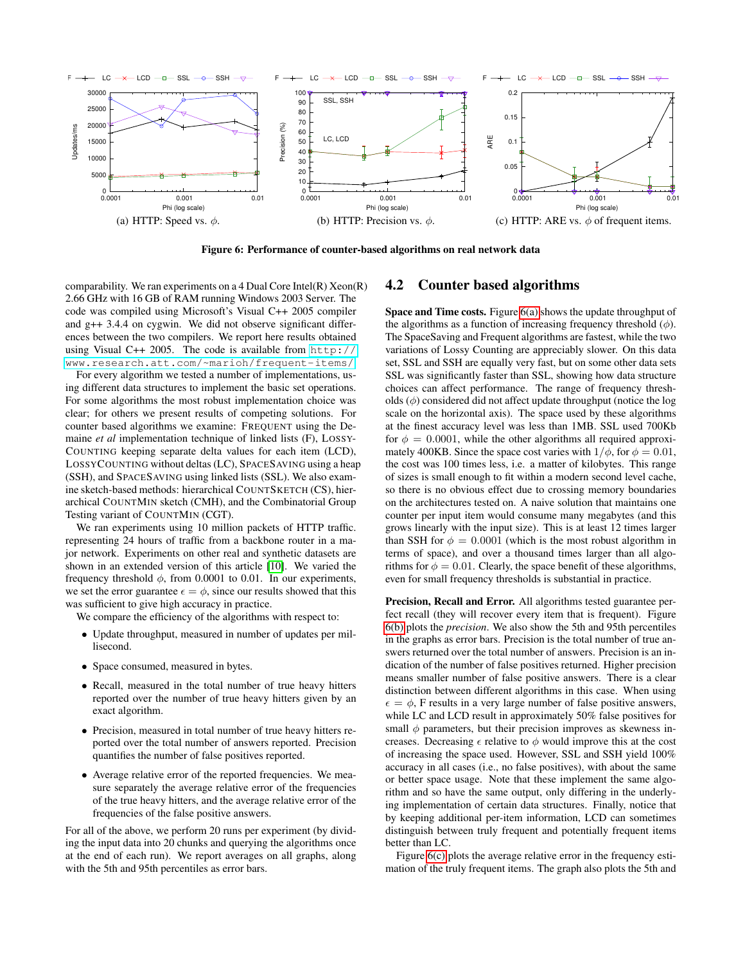<span id="page-5-0"></span>

<span id="page-5-1"></span>Figure 6: Performance of counter-based algorithms on real network data

comparability. We ran experiments on a 4 Dual Core Intel $(R)$  Xeon $(R)$ 2.66 GHz with 16 GB of RAM running Windows 2003 Server. The code was compiled using Microsoft's Visual C++ 2005 compiler and g++ 3.4.4 on cygwin. We did not observe significant differences between the two compilers. We report here results obtained using Visual C++ 2005. The code is available from  $http://$ [www.research.att.com/~marioh/frequent-items/](http://www.research.att.com/~marioh/frequent-items/).

For every algorithm we tested a number of implementations, using different data structures to implement the basic set operations. For some algorithms the most robust implementation choice was clear; for others we present results of competing solutions. For counter based algorithms we examine: FREQUENT using the Demaine *et al* implementation technique of linked lists (F), LOSSY-COUNTING keeping separate delta values for each item (LCD), LOSSYCOUNTING without deltas (LC), SPACESAVING using a heap (SSH), and SPACESAVING using linked lists (SSL). We also examine sketch-based methods: hierarchical COUNTSKETCH (CS), hierarchical COUNTMIN sketch (CMH), and the Combinatorial Group Testing variant of COUNTMIN (CGT).

We ran experiments using 10 million packets of HTTP traffic. representing 24 hours of traffic from a backbone router in a major network. Experiments on other real and synthetic datasets are shown in an extended version of this article [\[10\]](#page-7-9). We varied the frequency threshold  $\phi$ , from 0.0001 to 0.01. In our experiments, we set the error guarantee  $\epsilon = \phi$ , since our results showed that this was sufficient to give high accuracy in practice.

We compare the efficiency of the algorithms with respect to:

- Update throughput, measured in number of updates per millisecond.
- Space consumed, measured in bytes.
- Recall, measured in the total number of true heavy hitters reported over the number of true heavy hitters given by an exact algorithm.
- Precision, measured in total number of true heavy hitters reported over the total number of answers reported. Precision quantifies the number of false positives reported.
- Average relative error of the reported frequencies. We measure separately the average relative error of the frequencies of the true heavy hitters, and the average relative error of the frequencies of the false positive answers.

For all of the above, we perform 20 runs per experiment (by dividing the input data into 20 chunks and querying the algorithms once at the end of each run). We report averages on all graphs, along with the 5th and 95th percentiles as error bars.

#### <span id="page-5-2"></span>4.2 Counter based algorithms

Space and Time costs. Figure [6\(a\)](#page-5-0) shows the update throughput of the algorithms as a function of increasing frequency threshold  $(\phi)$ . The SpaceSaving and Frequent algorithms are fastest, while the two variations of Lossy Counting are appreciably slower. On this data set, SSL and SSH are equally very fast, but on some other data sets SSL was significantly faster than SSL, showing how data structure choices can affect performance. The range of frequency thresholds  $(\phi)$  considered did not affect update throughput (notice the log scale on the horizontal axis). The space used by these algorithms at the finest accuracy level was less than 1MB. SSL used 700Kb for  $\phi = 0.0001$ , while the other algorithms all required approximately 400KB. Since the space cost varies with  $1/\phi$ , for  $\phi = 0.01$ , the cost was 100 times less, i.e. a matter of kilobytes. This range of sizes is small enough to fit within a modern second level cache, so there is no obvious effect due to crossing memory boundaries on the architectures tested on. A naive solution that maintains one counter per input item would consume many megabytes (and this grows linearly with the input size). This is at least 12 times larger than SSH for  $\phi = 0.0001$  (which is the most robust algorithm in terms of space), and over a thousand times larger than all algorithms for  $\phi = 0.01$ . Clearly, the space benefit of these algorithms, even for small frequency thresholds is substantial in practice.

Precision, Recall and Error. All algorithms tested guarantee perfect recall (they will recover every item that is frequent). Figure [6\(b\)](#page-5-1) plots the *precision*. We also show the 5th and 95th percentiles in the graphs as error bars. Precision is the total number of true answers returned over the total number of answers. Precision is an indication of the number of false positives returned. Higher precision means smaller number of false positive answers. There is a clear distinction between different algorithms in this case. When using  $\epsilon = \phi$ , F results in a very large number of false positive answers, while LC and LCD result in approximately 50% false positives for small  $\phi$  parameters, but their precision improves as skewness increases. Decreasing  $\epsilon$  relative to  $\phi$  would improve this at the cost of increasing the space used. However, SSL and SSH yield 100% accuracy in all cases (i.e., no false positives), with about the same or better space usage. Note that these implement the same algorithm and so have the same output, only differing in the underlying implementation of certain data structures. Finally, notice that by keeping additional per-item information, LCD can sometimes distinguish between truly frequent and potentially frequent items better than LC.

Figure [6\(c\)](#page-5-2) plots the average relative error in the frequency estimation of the truly frequent items. The graph also plots the 5th and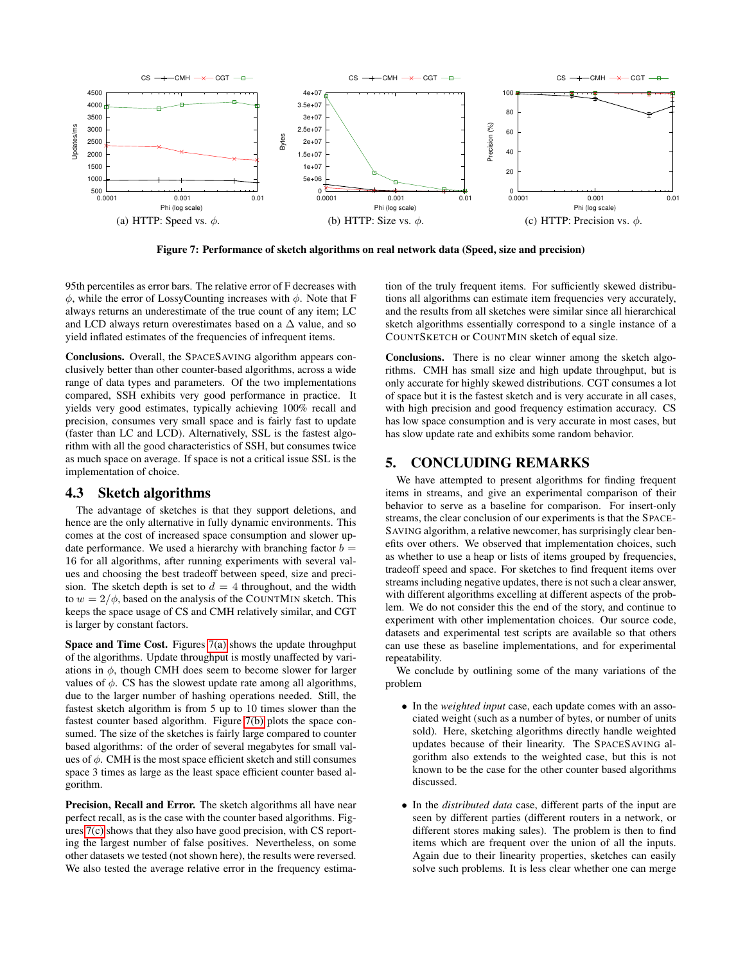<span id="page-6-0"></span>

<span id="page-6-1"></span>Figure 7: Performance of sketch algorithms on real network data (Speed, size and precision)

95th percentiles as error bars. The relative error of F decreases with  $\phi$ , while the error of LossyCounting increases with  $\phi$ . Note that F always returns an underestimate of the true count of any item; LC and LCD always return overestimates based on a  $\Delta$  value, and so yield inflated estimates of the frequencies of infrequent items.

Conclusions. Overall, the SPACESAVING algorithm appears conclusively better than other counter-based algorithms, across a wide range of data types and parameters. Of the two implementations compared, SSH exhibits very good performance in practice. It yields very good estimates, typically achieving 100% recall and precision, consumes very small space and is fairly fast to update (faster than LC and LCD). Alternatively, SSL is the fastest algorithm with all the good characteristics of SSH, but consumes twice as much space on average. If space is not a critical issue SSL is the implementation of choice.

## 4.3 Sketch algorithms

The advantage of sketches is that they support deletions, and hence are the only alternative in fully dynamic environments. This comes at the cost of increased space consumption and slower update performance. We used a hierarchy with branching factor  $b =$ 16 for all algorithms, after running experiments with several values and choosing the best tradeoff between speed, size and precision. The sketch depth is set to  $d = 4$  throughout, and the width to  $w = 2/\phi$ , based on the analysis of the COUNTMIN sketch. This keeps the space usage of CS and CMH relatively similar, and CGT is larger by constant factors.

Space and Time Cost. Figures [7\(a\)](#page-6-0) shows the update throughput of the algorithms. Update throughput is mostly unaffected by variations in  $\phi$ , though CMH does seem to become slower for larger values of  $\phi$ . CS has the slowest update rate among all algorithms, due to the larger number of hashing operations needed. Still, the fastest sketch algorithm is from 5 up to 10 times slower than the fastest counter based algorithm. Figure [7\(b\)](#page-6-1) plots the space consumed. The size of the sketches is fairly large compared to counter based algorithms: of the order of several megabytes for small values of  $\phi$ . CMH is the most space efficient sketch and still consumes space 3 times as large as the least space efficient counter based algorithm.

Precision, Recall and Error. The sketch algorithms all have near perfect recall, as is the case with the counter based algorithms. Figures [7\(c\)](#page-6-2) shows that they also have good precision, with CS reporting the largest number of false positives. Nevertheless, on some other datasets we tested (not shown here), the results were reversed. We also tested the average relative error in the frequency estima<span id="page-6-2"></span>tion of the truly frequent items. For sufficiently skewed distributions all algorithms can estimate item frequencies very accurately, and the results from all sketches were similar since all hierarchical sketch algorithms essentially correspond to a single instance of a COUNTSKETCH or COUNTMIN sketch of equal size.

Conclusions. There is no clear winner among the sketch algorithms. CMH has small size and high update throughput, but is only accurate for highly skewed distributions. CGT consumes a lot of space but it is the fastest sketch and is very accurate in all cases, with high precision and good frequency estimation accuracy. CS has low space consumption and is very accurate in most cases, but has slow update rate and exhibits some random behavior.

## 5. CONCLUDING REMARKS

We have attempted to present algorithms for finding frequent items in streams, and give an experimental comparison of their behavior to serve as a baseline for comparison. For insert-only streams, the clear conclusion of our experiments is that the SPACE-SAVING algorithm, a relative newcomer, has surprisingly clear benefits over others. We observed that implementation choices, such as whether to use a heap or lists of items grouped by frequencies, tradeoff speed and space. For sketches to find frequent items over streams including negative updates, there is not such a clear answer, with different algorithms excelling at different aspects of the problem. We do not consider this the end of the story, and continue to experiment with other implementation choices. Our source code, datasets and experimental test scripts are available so that others can use these as baseline implementations, and for experimental repeatability.

We conclude by outlining some of the many variations of the problem

- In the *weighted input* case, each update comes with an associated weight (such as a number of bytes, or number of units sold). Here, sketching algorithms directly handle weighted updates because of their linearity. The SPACESAVING algorithm also extends to the weighted case, but this is not known to be the case for the other counter based algorithms discussed.
- In the *distributed data* case, different parts of the input are seen by different parties (different routers in a network, or different stores making sales). The problem is then to find items which are frequent over the union of all the inputs. Again due to their linearity properties, sketches can easily solve such problems. It is less clear whether one can merge